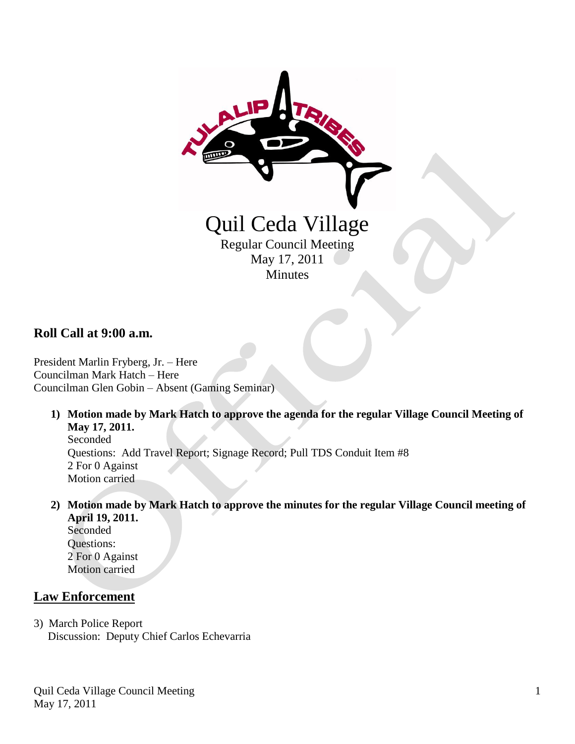

**Roll Call at 9:00 a.m.**

President Marlin Fryberg, Jr. – Here Councilman Mark Hatch – Here Councilman Glen Gobin – Absent (Gaming Seminar)

**1) Motion made by Mark Hatch to approve the agenda for the regular Village Council Meeting of May 17, 2011.**

Seconded Questions: Add Travel Report; Signage Record; Pull TDS Conduit Item #8 2 For 0 Against Motion carried

**2) Motion made by Mark Hatch to approve the minutes for the regular Village Council meeting of April 19, 2011.** Seconded

 Questions: 2 For 0 Against Motion carried

### **Law Enforcement**

3) March Police Report Discussion: Deputy Chief Carlos Echevarria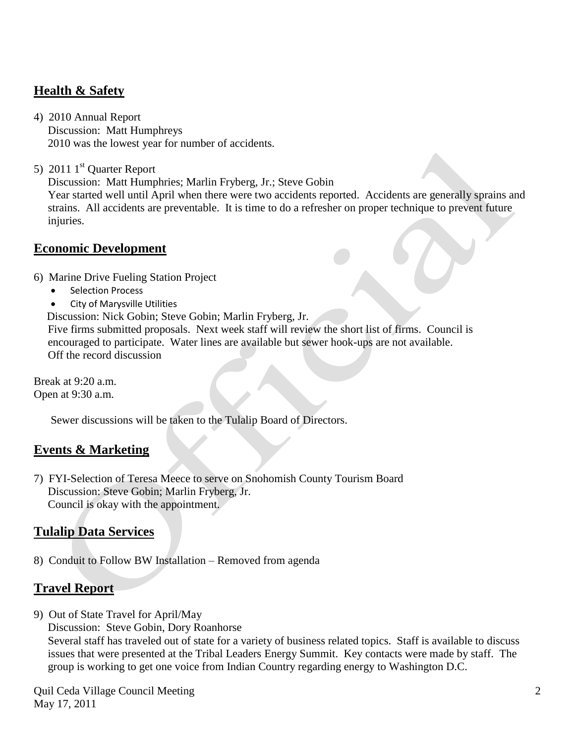## **Health & Safety**

- 4) 2010 Annual Report Discussion: Matt Humphreys 2010 was the lowest year for number of accidents.
- 5) 2011  $1<sup>st</sup>$  Quarter Report

Discussion: Matt Humphries; Marlin Fryberg, Jr.; Steve Gobin

 Year started well until April when there were two accidents reported. Accidents are generally sprains and strains. All accidents are preventable. It is time to do a refresher on proper technique to prevent future injuries.

#### **Economic Development**

- 6) Marine Drive Fueling Station Project
	- Selection Process
	- City of Marysville Utilities

Discussion: Nick Gobin; Steve Gobin; Marlin Fryberg, Jr.

 Five firms submitted proposals. Next week staff will review the short list of firms. Council is encouraged to participate. Water lines are available but sewer hook-ups are not available. Off the record discussion

Break at 9:20 a.m. Open at 9:30 a.m.

Sewer discussions will be taken to the Tulalip Board of Directors.

## **Events & Marketing**

7) FYI-Selection of Teresa Meece to serve on Snohomish County Tourism Board Discussion: Steve Gobin; Marlin Fryberg, Jr. Council is okay with the appointment.

# **Tulalip Data Services**

8) Conduit to Follow BW Installation – Removed from agenda

## **Travel Report**

- 9) Out of State Travel for April/May
	- Discussion: Steve Gobin, Dory Roanhorse

 Several staff has traveled out of state for a variety of business related topics. Staff is available to discuss issues that were presented at the Tribal Leaders Energy Summit. Key contacts were made by staff. The group is working to get one voice from Indian Country regarding energy to Washington D.C.

Quil Ceda Village Council Meeting May 17, 2011